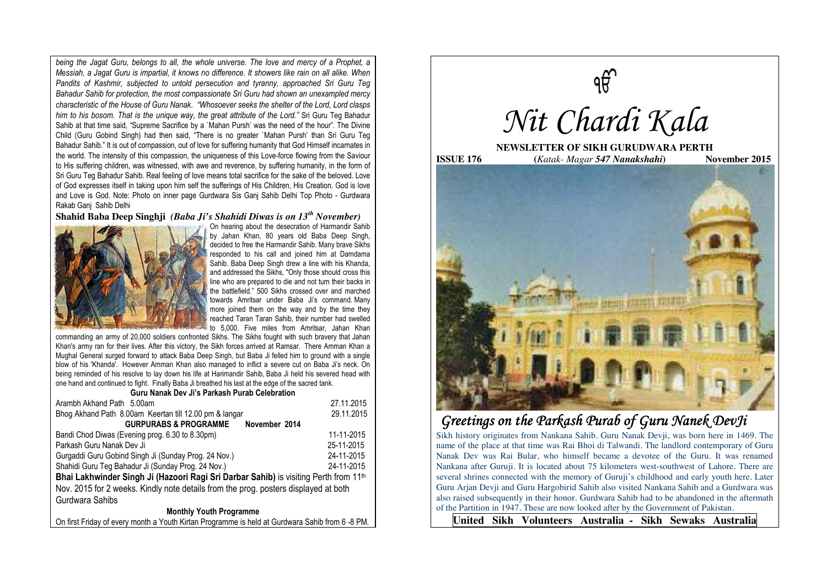*being the Jagat Guru, belongs to all, the whole universe. The love and mercy of a Prophet, a Messiah, a Jagat Guru is impartial, it knows no difference. It showers like rain on all alike. When Pandits of Kashmir, subjected to untold persecution and tyranny, approached Sri Guru Teg Bahadur Sahib for protection, the most compassionate Sri Guru had shown an unexampled mercy characteristic of the House of Guru Nanak*. *"Whosoever seeks the shelter of the Lord, Lord clasps him to his bosom. That is the unique way, the great attribute of the Lord."* Sri Guru Teg Bahadur Sahib at that time said, "Supreme Sacrifice by a `Mahan Pursh' was the need of the hour". The Divine Child (Guru Gobind Singh) had then said, "There is no greater `Mahan Pursh' than Sri Guru Teg Bahadur Sahib." It is out of compassion, out of love for suffering humanity that God Himself incarnates in the world. The intensity of this compassion, the uniqueness of this Love-force flowing from the Saviour to His suffering children, was witnessed, with awe and reverence, by suffering humanity, in the form of Sri Guru Teg Bahadur Sahib. Real feeling of love means total sacrifice for the sake of the beloved. Love of God expresses itself in taking upon him self the sufferings of His Children, His Creation. God is love and Love is God. Note: Photo on inner page Gurdwara Sis Ganj Sahib Delhi Top Photo - Gurdwara Rakab Ganj Sahib Delhi

## **Shahid Baba Deep Singhji** *(Baba Ji's Shahidi Diwas is on 13th November)*



On hearing about the desecration of Harmandir Sahib by Jahan Khan, 80 years old Baba Deep Singh, decided to free the Harmandir Sahib. Many brave Sikhs responded to his call and joined him at Damdama Sahib. Baba Deep Singh drew a line with his Khanda, and addressed the Sikhs, "Only those should cross this line who are prepared to die and not turn their backs in the battlefield." 500 Sikhs crossed over and marched towards Amritsar under Baba Ji's command. Many more joined them on the way and by the time they reached Taran Taran Sahib, their number had swelled to 5,000. Five miles from Amritsar, Jahan Khan

commanding an army of 20,000 soldiers confronted Sikhs. The Sikhs fought with such bravery that Jahan Khan's army ran for their lives. After this victory, the Sikh forces arrived at Ramsar. There Amman Khan a Mughal General surged forward to attack Baba Deep Singh, but Baba Ji felled him to ground with a single blow of his 'Khanda'. However Amman Khan also managed to inflict a severe cut on Baba Ji's neck. On being reminded of his resolve to lay down his life at Harimandir Sahib, Baba Ji held his severed head with one hand and continued to fight. Finally Baba Ji breathed his last at the edge of the sacred tank.

#### **Guru Nanak Dev Ji's Parkash Purab Celebration**

| Arambh Akhand Path 5.00am                                                                        | 27.11.2015 |
|--------------------------------------------------------------------------------------------------|------------|
| Bhog Akhand Path 8.00am Keertan till 12.00 pm & langar                                           | 29.11.2015 |
| <b>GURPURABS &amp; PROGRAMME</b><br>November 2014                                                |            |
| Bandi Chod Diwas (Evening prog. 6.30 to 8.30pm)                                                  | 11-11-2015 |
| Parkash Guru Nanak Dev Ji                                                                        | 25-11-2015 |
| Gurgaddi Guru Gobind Singh Ji (Sunday Prog. 24 Nov.)                                             | 24-11-2015 |
| Shahidi Guru Teg Bahadur Ji (Sunday Prog. 24 Nov.)                                               | 24-11-2015 |
| Bhai Lakhwinder Singh Ji (Hazoori Ragi Sri Darbar Sahib) is visiting Perth from 11 <sup>th</sup> |            |
| Nov. 2015 for 2 weeks. Kindly note details from the prog. posters displayed at both              |            |
| Gurdwara Sahibs                                                                                  |            |
| <b>Monthly Youth Programme</b>                                                                   |            |
|                                                                                                  |            |

On first Friday of every month a Youth Kirtan Programme is held at Gurdwara Sahib from 6 -8 PM.



# *Greetings on the Parkash Purab of Guru Nanek DevJi the Parkash Purab of Nanek*

Sikh history originates from Nankana Sahib. Guru Nanak Devji, was born here in 1469. The name of the place at that time was Rai Bhoi di Talwandi. The landlord contemporary of Guru Nanak Dev was Rai Bular, who himself became a devotee of the Guru. It was renamed Nankana after Guruji. It is located about 75 kilometers west-southwest of Lahore. There are several shrines connected with the memory of Guruji's childhood and early youth here. Later Guru Arjan Devji and Guru Hargobirid Sahib also visited Nankana Sahib and a Gurdwara was also raised subsequently in their honor. Gurdwara Sahib had to be abandoned in the aftermath of the Partition in 1947. These are now looked after by the Government of Pakistan.

**United Sikh Volunteers Australia - Sikh Sewaks Australia**